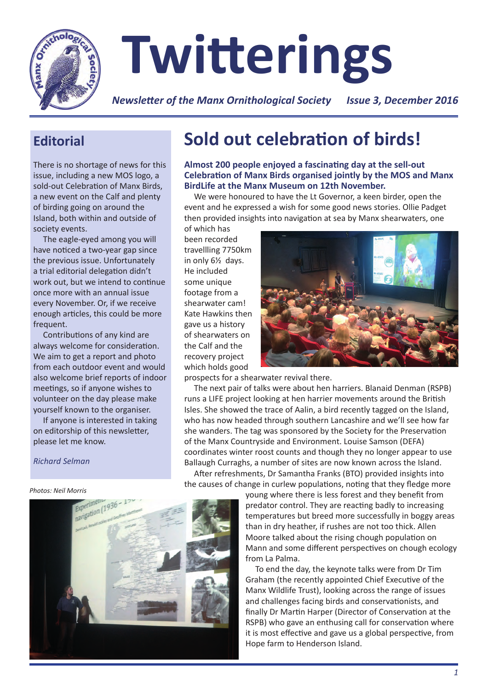

# **Twitterings**

*Newsletter of the Manx Ornithological Society Issue 3, December 2016*

# **Editorial**

There is no shortage of news for this issue, including a new MOS logo, a sold-out Celebration of Manx Birds, a new event on the Calf and plenty of birding going on around the Island, both within and outside of society events.

The eagle-eyed among you will have noticed a two-year gap since the previous issue. Unfortunately a trial editorial delegation didn't work out, but we intend to continue once more with an annual issue every November. Or, if we receive enough articles, this could be more frequent.

Contributions of any kind are always welcome for consideration. We aim to get a report and photo from each outdoor event and would also welcome brief reports of indoor meetings, so if anyone wishes to volunteer on the day please make yourself known to the organiser.

If anyone is interested in taking on editorship of this newsletter, please let me know.

#### *Richard Selman*

#### *Photos: Neil Morris*



# **Sold out celebration of birds!**

**Almost 200 people enjoyed a fascinating day at the sell-out Celebration of Manx Birds organised jointly by the MOS and Manx BirdLife at the Manx Museum on 12th November.** 

We were honoured to have the Lt Governor, a keen birder, open the event and he expressed a wish for some good news stories. Ollie Padget then provided insights into navigation at sea by Manx shearwaters, one

of which has been recorded travellling 7750km in only 6½ days. He included some unique footage from a shearwater cam! Kate Hawkins then gave us a history of shearwaters on the Calf and the recovery project which holds good



prospects for a shearwater revival there.

The next pair of talks were about hen harriers. Blanaid Denman (RSPB) runs a LIFE project looking at hen harrier movements around the British Isles. She showed the trace of Aalin, a bird recently tagged on the Island, who has now headed through southern Lancashire and we'll see how far she wanders. The tag was sponsored by the Society for the Preservation of the Manx Countryside and Environment. Louise Samson (DEFA) coordinates winter roost counts and though they no longer appear to use Ballaugh Curraghs, a number of sites are now known across the Island. After refreshments, Dr Samantha Franks (BTO) provided insights into

the causes of change in curlew populations, noting that they fledge more

young where there is less forest and they benefit from predator control. They are reacting badly to increasing temperatures but breed more successfully in boggy areas than in dry heather, if rushes are not too thick. Allen Moore talked about the rising chough population on Mann and some different perspectives on chough ecology from La Palma.

To end the day, the keynote talks were from Dr Tim Graham (the recently appointed Chief Executive of the Manx Wildlife Trust), looking across the range of issues and challenges facing birds and conservationists, and finally Dr Martin Harper (Director of Conservation at the RSPB) who gave an enthusing call for conservation where it is most effective and gave us a global perspective, from Hope farm to Henderson Island.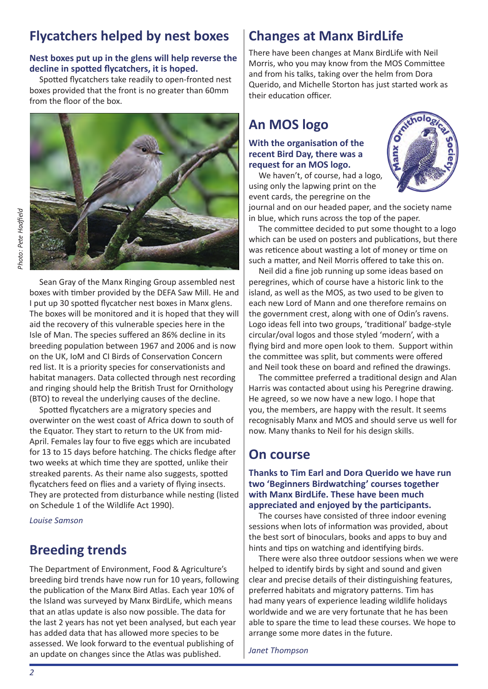# **Flycatchers helped by nest boxes**

#### **Nest boxes put up in the glens will help reverse the decline in spotted flycatchers, it is hoped.**

Spotted flycatchers take readily to open-fronted nest boxes provided that the front is no greater than 60mm from the floor of the box.



Sean Gray of the Manx Ringing Group assembled nest boxes with timber provided by the DEFA Saw Mill. He and I put up 30 spotted flycatcher nest boxes in Manx glens. The boxes will be monitored and it is hoped that they will aid the recovery of this vulnerable species here in the Isle of Man. The species suffered an 86% decline in its breeding population between 1967 and 2006 and is now on the UK, IoM and CI Birds of Conservation Concern red list. It is a priority species for conservationists and habitat managers. Data collected through nest recording and ringing should help the British Trust for Ornithology (BTO) to reveal the underlying causes of the decline.

Spotted flycatchers are a migratory species and overwinter on the west coast of Africa down to south of the Equator. They start to return to the UK from mid-April. Females lay four to five eggs which are incubated for 13 to 15 days before hatching. The chicks fledge after two weeks at which time they are spotted, unlike their streaked parents. As their name also suggests, spotted flycatchers feed on flies and a variety of flying insects. They are protected from disturbance while nesting (listed on Schedule 1 of the Wildlife Act 1990).

*Louise Samson*

# **Breeding trends**

The Department of Environment, Food & Agriculture's breeding bird trends have now run for 10 years, following the publication of the Manx Bird Atlas. Each year 10% of the Island was surveyed by Manx BirdLife, which means that an atlas update is also now possible. The data for the last 2 years has not yet been analysed, but each year has added data that has allowed more species to be assessed. We look forward to the eventual publishing of an update on changes since the Atlas was published.

# **Changes at Manx BirdLife**

There have been changes at Manx BirdLife with Neil Morris, who you may know from the MOS Committee and from his talks, taking over the helm from Dora Querido, and Michelle Storton has just started work as their education officer.

# **An MOS logo**

#### **With the organisation of the recent Bird Day, there was a request for an MOS logo.**

We haven't, of course, had a logo, using only the lapwing print on the event cards, the peregrine on the



journal and on our headed paper, and the society name in blue, which runs across the top of the paper.

The committee decided to put some thought to a logo which can be used on posters and publications, but there was reticence about wasting a lot of money or time on such a matter, and Neil Morris offered to take this on.

Neil did a fine job running up some ideas based on peregrines, which of course have a historic link to the island, as well as the MOS, as two used to be given to each new Lord of Mann and one therefore remains on the government crest, along with one of Odin's ravens. Logo ideas fell into two groups, 'traditional' badge-style circular/oval logos and those styled 'modern', with a flying bird and more open look to them. Support within the committee was split, but comments were offered and Neil took these on board and refined the drawings.

The committee preferred a traditional design and Alan Harris was contacted about using his Peregrine drawing. He agreed, so we now have a new logo. I hope that you, the members, are happy with the result. It seems recognisably Manx and MOS and should serve us well for now. Many thanks to Neil for his design skills.

# **On course**

**Thanks to Tim Earl and Dora Querido we have run two 'Beginners Birdwatching' courses together with Manx BirdLife. These have been much appreciated and enjoyed by the participants.**

The courses have consisted of three indoor evening sessions when lots of information was provided, about the best sort of binoculars, books and apps to buy and hints and tips on watching and identifying birds.

There were also three outdoor sessions when we were helped to identify birds by sight and sound and given clear and precise details of their distinguishing features, preferred habitats and migratory patterns. Tim has had many years of experience leading wildlife holidays worldwide and we are very fortunate that he has been able to spare the time to lead these courses. We hope to arrange some more dates in the future.

*Janet Thompson*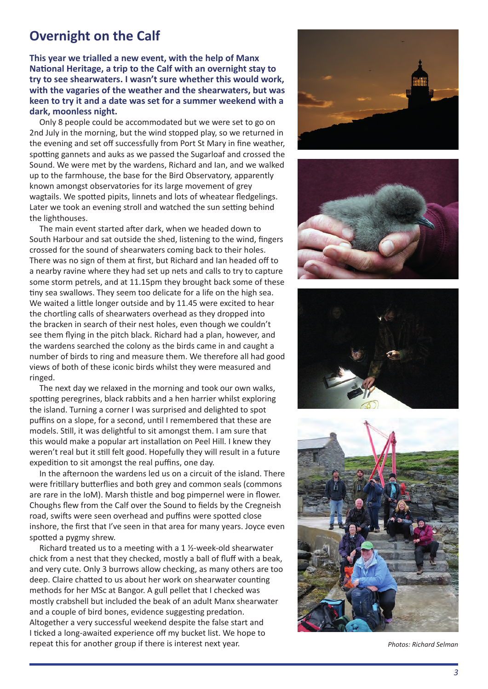## **Overnight on the Calf**

**This year we trialled a new event, with the help of Manx National Heritage, a trip to the Calf with an overnight stay to try to see shearwaters. I wasn't sure whether this would work, with the vagaries of the weather and the shearwaters, but was keen to try it and a date was set for a summer weekend with a dark, moonless night.**

Only 8 people could be accommodated but we were set to go on 2nd July in the morning, but the wind stopped play, so we returned in the evening and set off successfully from Port St Mary in fine weather, spotting gannets and auks as we passed the Sugarloaf and crossed the Sound. We were met by the wardens, Richard and Ian, and we walked up to the farmhouse, the base for the Bird Observatory, apparently known amongst observatories for its large movement of grey wagtails. We spotted pipits, linnets and lots of wheatear fledgelings. Later we took an evening stroll and watched the sun setting behind the lighthouses.

The main event started after dark, when we headed down to South Harbour and sat outside the shed, listening to the wind, fingers crossed for the sound of shearwaters coming back to their holes. There was no sign of them at first, but Richard and Ian headed off to a nearby ravine where they had set up nets and calls to try to capture some storm petrels, and at 11.15pm they brought back some of these tiny sea swallows. They seem too delicate for a life on the high sea. We waited a little longer outside and by 11.45 were excited to hear the chortling calls of shearwaters overhead as they dropped into the bracken in search of their nest holes, even though we couldn't see them flying in the pitch black. Richard had a plan, however, and the wardens searched the colony as the birds came in and caught a number of birds to ring and measure them. We therefore all had good views of both of these iconic birds whilst they were measured and ringed.

The next day we relaxed in the morning and took our own walks, spotting peregrines, black rabbits and a hen harrier whilst exploring the island. Turning a corner I was surprised and delighted to spot puffins on a slope, for a second, until I remembered that these are models. Still, it was delightful to sit amongst them. I am sure that this would make a popular art installation on Peel Hill. I knew they weren't real but it still felt good. Hopefully they will result in a future expedition to sit amongst the real puffins, one day.

In the afternoon the wardens led us on a circuit of the island. There were fritillary butterflies and both grey and common seals (commons are rare in the IoM). Marsh thistle and bog pimpernel were in flower. Choughs flew from the Calf over the Sound to fields by the Cregneish road, swifts were seen overhead and puffins were spotted close inshore, the first that I've seen in that area for many years. Joyce even spotted a pygmy shrew.

Richard treated us to a meeting with a 1 ½-week-old shearwater chick from a nest that they checked, mostly a ball of fluff with a beak, and very cute. Only 3 burrows allow checking, as many others are too deep. Claire chatted to us about her work on shearwater counting methods for her MSc at Bangor. A gull pellet that I checked was mostly crabshell but included the beak of an adult Manx shearwater and a couple of bird bones, evidence suggesting predation. Altogether a very successful weekend despite the false start and I ticked a long-awaited experience off my bucket list. We hope to repeat this for another group if there is interest next year. *Photos: Richard Selman* 







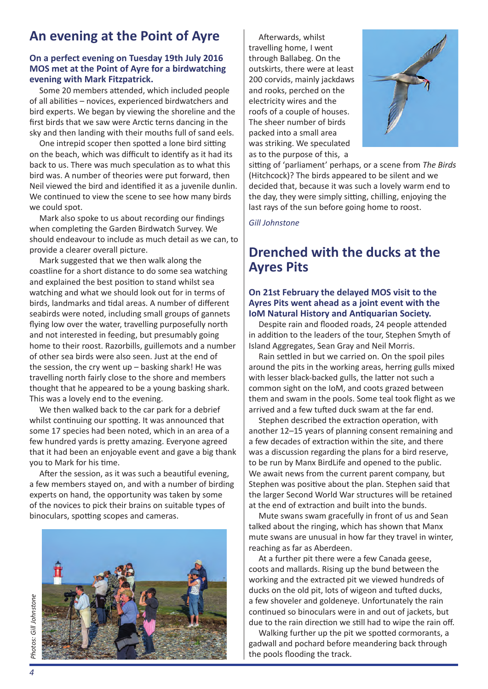# **An evening at the Point of Ayre**

#### **On a perfect evening on Tuesday 19th July 2016 MOS met at the Point of Ayre for a birdwatching evening with Mark Fitzpatrick.**

Some 20 members attended, which included people of all abilities – novices, experienced birdwatchers and bird experts. We began by viewing the shoreline and the first birds that we saw were Arctic terns dancing in the sky and then landing with their mouths full of sand eels.

One intrepid scoper then spotted a lone bird sitting on the beach, which was difficult to identify as it had its back to us. There was much speculation as to what this bird was. A number of theories were put forward, then Neil viewed the bird and identified it as a juvenile dunlin. We continued to view the scene to see how many birds we could spot.

Mark also spoke to us about recording our findings when completing the Garden Birdwatch Survey. We should endeavour to include as much detail as we can, to provide a clearer overall picture.

Mark suggested that we then walk along the coastline for a short distance to do some sea watching and explained the best position to stand whilst sea watching and what we should look out for in terms of birds, landmarks and tidal areas. A number of different seabirds were noted, including small groups of gannets flying low over the water, travelling purposefully north and not interested in feeding, but presumably going home to their roost. Razorbills, guillemots and a number of other sea birds were also seen. Just at the end of the session, the cry went up – basking shark! He was travelling north fairly close to the shore and members thought that he appeared to be a young basking shark. This was a lovely end to the evening.

We then walked back to the car park for a debrief whilst continuing our spotting. It was announced that some 17 species had been noted, which in an area of a few hundred yards is pretty amazing. Everyone agreed that it had been an enjoyable event and gave a big thank you to Mark for his time.

After the session, as it was such a beautiful evening, a few members stayed on, and with a number of birding experts on hand, the opportunity was taken by some of the novices to pick their brains on suitable types of binoculars, spotting scopes and cameras.



Afterwards, whilst travelling home, I went through Ballabeg. On the outskirts, there were at least 200 corvids, mainly jackdaws and rooks, perched on the electricity wires and the roofs of a couple of houses. The sheer number of birds packed into a small area was striking. We speculated as to the purpose of this, a



sitting of 'parliament' perhaps, or a scene from *The Birds* (Hitchcock)? The birds appeared to be silent and we decided that, because it was such a lovely warm end to the day, they were simply sitting, chilling, enjoying the last rays of the sun before going home to roost.

*Gill Johnstone*

## **Drenched with the ducks at the Ayres Pits**

#### **On 21st February the delayed MOS visit to the Ayres Pits went ahead as a joint event with the IoM Natural History and Antiquarian Society.**

Despite rain and flooded roads, 24 people attended in addition to the leaders of the tour, Stephen Smyth of Island Aggregates, Sean Gray and Neil Morris.

Rain settled in but we carried on. On the spoil piles around the pits in the working areas, herring gulls mixed with lesser black-backed gulls, the latter not such a common sight on the IoM, and coots grazed between them and swam in the pools. Some teal took flight as we arrived and a few tufted duck swam at the far end.

Stephen described the extraction operation, with another 12–15 years of planning consent remaining and a few decades of extraction within the site, and there was a discussion regarding the plans for a bird reserve, to be run by Manx BirdLife and opened to the public. We await news from the current parent company, but Stephen was positive about the plan. Stephen said that the larger Second World War structures will be retained at the end of extraction and built into the bunds.

Mute swans swam gracefully in front of us and Sean talked about the ringing, which has shown that Manx mute swans are unusual in how far they travel in winter, reaching as far as Aberdeen.

At a further pit there were a few Canada geese, coots and mallards. Rising up the bund between the working and the extracted pit we viewed hundreds of ducks on the old pit, lots of wigeon and tufted ducks, a few shoveler and goldeneye. Unfortunately the rain continued so binoculars were in and out of jackets, but due to the rain direction we still had to wipe the rain off.

Walking further up the pit we spotted cormorants, a gadwall and pochard before meandering back through the pools flooding the track.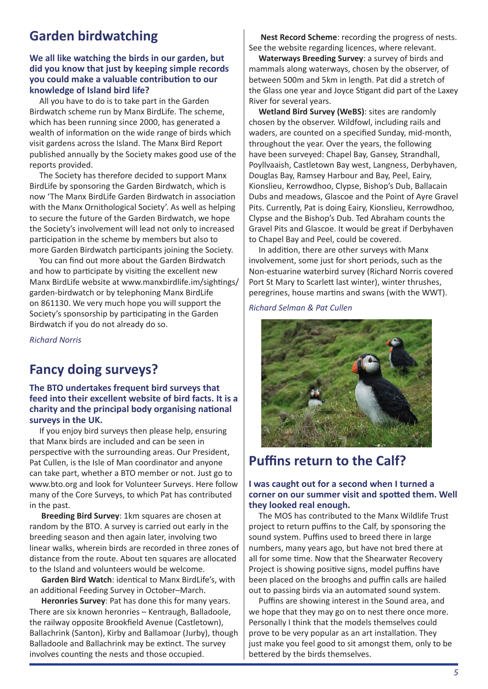## **Garden birdwatching**

#### **We all like watching the birds in our garden, but did you know that just by keeping simple records you could make a valuable contribution to our knowledge of Island bird life?**

All you have to do is to take part in the Garden Birdwatch scheme run by Manx BirdLife. The scheme, which has been running since 2000, has generated a wealth of information on the wide range of birds which visit gardens across the Island. The Manx Bird Report published annually by the Society makes good use of the reports provided.

The Society has therefore decided to support Manx BirdLife by sponsoring the Garden Birdwatch, which is now 'The Manx BirdLife Garden Birdwatch in association with the Manx Ornithological Society'. As well as helping to secure the future of the Garden Birdwatch, we hope the Society's involvement will lead not only to increased participation in the scheme by members but also to more Garden Birdwatch participants joining the Society.

You can find out more about the Garden Birdwatch and how to participate by visiting the excellent new Manx BirdLife website at www.manxbirdlife.im/sightings/ garden-birdwatch or by telephoning Manx BirdLife on 861130. We very much hope you will support the Society's sponsorship by participating in the Garden Birdwatch if you do not already do so.

*Richard Norris*

## **Fancy doing surveys?**

#### **The BTO undertakes frequent bird surveys that feed into their excellent website of bird facts. It is a charity and the principal body organising national surveys in the UK.**

If you enjoy bird surveys then please help, ensuring that Manx birds are included and can be seen in perspective with the surrounding areas. Our President, Pat Cullen, is the Isle of Man coordinator and anyone can take part, whether a BTO member or not. Just go to www.bto.org and look for Volunteer Surveys. Here follow many of the Core Surveys, to which Pat has contributed in the past.

**Breeding Bird Survey**: 1km squares are chosen at random by the BTO. A survey is carried out early in the breeding season and then again later, involving two linear walks, wherein birds are recorded in three zones of distance from the route. About ten squares are allocated to the Island and volunteers would be welcome.

**Garden Bird Watch**: identical to Manx BirdLife's, with an additional Feeding Survey in October–March.

**Heronries Survey**: Pat has done this for many years. There are six known heronries – Kentraugh, Balladoole, the railway opposite Brookfield Avenue (Castletown), Ballachrink (Santon), Kirby and Ballamoar (Jurby), though Balladoole and Ballachrink may be extinct. The survey involves counting the nests and those occupied.

**Nest Record Scheme**: recording the progress of nests. See the website regarding licences, where relevant.

**Waterways Breeding Survey**: a survey of birds and mammals along waterways, chosen by the observer, of between 500m and 5km in length. Pat did a stretch of the Glass one year and Joyce Stigant did part of the Laxey River for several years.

**Wetland Bird Survey (WeBS)**: sites are randomly chosen by the observer. Wildfowl, including rails and waders, are counted on a specified Sunday, mid-month, throughout the year. Over the years, the following have been surveyed: Chapel Bay, Gansey, Strandhall, Poyllvaaish, Castletown Bay west, Langness, Derbyhaven, Douglas Bay, Ramsey Harbour and Bay, Peel, Eairy, Kionslieu, Kerrowdhoo, Clypse, Bishop's Dub, Ballacain Dubs and meadows, Glascoe and the Point of Ayre Gravel Pits. Currently, Pat is doing Eairy, Kionslieu, Kerrowdhoo, Clypse and the Bishop's Dub. Ted Abraham counts the Gravel Pits and Glascoe. It would be great if Derbyhaven to Chapel Bay and Peel, could be covered.

In addition, there are other surveys with Manx involvement, some just for short periods, such as the Non-estuarine waterbird survey (Richard Norris covered Port St Mary to Scarlett last winter), winter thrushes, peregrines, house martins and swans (with the WWT).

*Richard Selman & Pat Cullen*



## **Puffins return to the Calf?**

#### **I was caught out for a second when I turned a corner on our summer visit and spotted them. Well they looked real enough.**

The MOS has contributed to the Manx Wildlife Trust project to return puffins to the Calf, by sponsoring the sound system. Puffins used to breed there in large numbers, many years ago, but have not bred there at all for some time. Now that the Shearwater Recovery Project is showing positive signs, model puffins have been placed on the brooghs and puffin calls are hailed out to passing birds via an automated sound system.

Puffins are showing interest in the Sound area, and we hope that they may go on to nest there once more. Personally I think that the models themselves could prove to be very popular as an art installation. They just make you feel good to sit amongst them, only to be bettered by the birds themselves.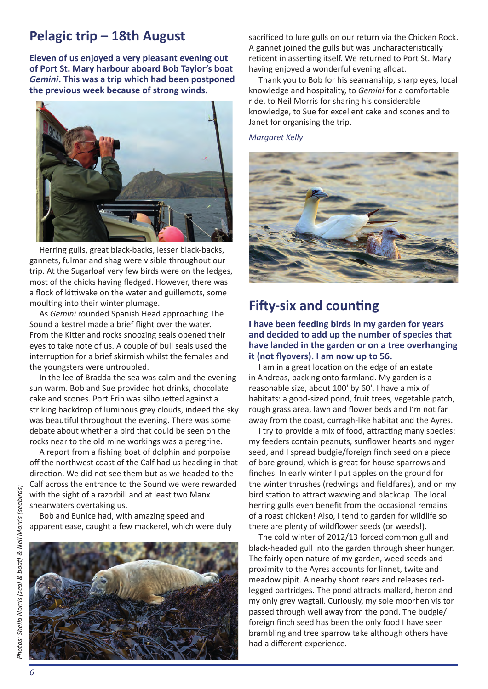# **Pelagic trip – 18th August**

**Eleven of us enjoyed a very pleasant evening out of Port St. Mary harbour aboard Bob Taylor's boat**  *Gemini***. This was a trip which had been postponed the previous week because of strong winds.**



Herring gulls, great black-backs, lesser black-backs, gannets, fulmar and shag were visible throughout our trip. At the Sugarloaf very few birds were on the ledges, most of the chicks having fledged. However, there was a flock of kittiwake on the water and guillemots, some moulting into their winter plumage.

As *Gemini* rounded Spanish Head approaching The Sound a kestrel made a brief flight over the water. From the Kitterland rocks snoozing seals opened their eyes to take note of us. A couple of bull seals used the interruption for a brief skirmish whilst the females and the youngsters were untroubled.

In the lee of Bradda the sea was calm and the evening sun warm. Bob and Sue provided hot drinks, chocolate cake and scones. Port Erin was silhouetted against a striking backdrop of luminous grey clouds, indeed the sky was beautiful throughout the evening. There was some debate about whether a bird that could be seen on the rocks near to the old mine workings was a peregrine.

A report from a fishing boat of dolphin and porpoise off the northwest coast of the Calf had us heading in that direction. We did not see them but as we headed to the Calf across the entrance to the Sound we were rewarded with the sight of a razorbill and at least two Manx shearwaters overtaking us.

Bob and Eunice had, with amazing speed and apparent ease, caught a few mackerel, which were duly



sacrificed to lure gulls on our return via the Chicken Rock. A gannet joined the gulls but was uncharacteristically reticent in asserting itself. We returned to Port St. Mary having enjoyed a wonderful evening afloat.

Thank you to Bob for his seamanship, sharp eyes, local knowledge and hospitality, to *Gemini* for a comfortable ride, to Neil Morris for sharing his considerable knowledge, to Sue for excellent cake and scones and to Janet for organising the trip.

#### *Margaret Kelly*



## **Fifty-six and counting**

**I have been feeding birds in my garden for years and decided to add up the number of species that have landed in the garden or on a tree overhanging it (not flyovers). I am now up to 56.**

I am in a great location on the edge of an estate in Andreas, backing onto farmland. My garden is a reasonable size, about 100' by 60'. I have a mix of habitats: a good-sized pond, fruit trees, vegetable patch, rough grass area, lawn and flower beds and I'm not far away from the coast, curragh-like habitat and the Ayres.

I try to provide a mix of food, attracting many species: my feeders contain peanuts, sunflower hearts and nyger seed, and I spread budgie/foreign finch seed on a piece of bare ground, which is great for house sparrows and finches. In early winter I put apples on the ground for the winter thrushes (redwings and fieldfares), and on my bird station to attract waxwing and blackcap. The local herring gulls even benefit from the occasional remains of a roast chicken! Also, I tend to garden for wildlife so there are plenty of wildflower seeds (or weeds!).

The cold winter of 2012/13 forced common gull and black-headed gull into the garden through sheer hunger. The fairly open nature of my garden, weed seeds and proximity to the Ayres accounts for linnet, twite and meadow pipit. A nearby shoot rears and releases redlegged partridges. The pond attracts mallard, heron and my only grey wagtail. Curiously, my sole moorhen visitor passed through well away from the pond. The budgie/ foreign finch seed has been the only food I have seen brambling and tree sparrow take although others have had a different experience.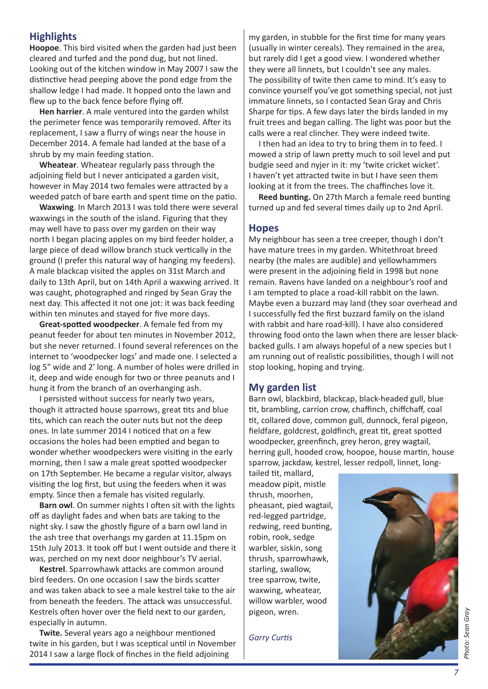#### **Highlights**

**Hoopoe**. This bird visited when the garden had just been cleared and turfed and the pond dug, but not lined. Looking out of the kitchen window in May 2007 I saw the distinctive head peeping above the pond edge from the shallow ledge I had made. It hopped onto the lawn and flew up to the back fence before flying off.

**Hen harrier**. A male ventured into the garden whilst the perimeter fence was temporarily removed. After its replacement, I saw a flurry of wings near the house in December 2014. A female had landed at the base of a shrub by my main feeding station.

**Wheatear**. Wheatear regularly pass through the adjoining field but I never anticipated a garden visit, however in May 2014 two females were attracted by a weeded patch of bare earth and spent time on the patio.

**Waxwing**. In March 2013 I was told there were several waxwings in the south of the island. Figuring that they may well have to pass over my garden on their way north I began placing apples on my bird feeder holder, a large piece of dead willow branch stuck vertically in the ground (I prefer this natural way of hanging my feeders). A male blackcap visited the apples on 31st March and daily to 13th April, but on 14th April a waxwing arrived. It was caught, photographed and ringed by Sean Gray the next day. This affected it not one jot: it was back feeding within ten minutes and stayed for five more days.

**Great-spotted woodpecker**. A female fed from my peanut feeder for about ten minutes in November 2012, but she never returned. I found several references on the internet to 'woodpecker logs' and made one. I selected a log 5" wide and 2' long. A number of holes were drilled in it, deep and wide enough for two or three peanuts and I hung it from the branch of an overhanging ash.

I persisted without success for nearly two years, though it attracted house sparrows, great tits and blue tits, which can reach the outer nuts but not the deep ones. In late summer 2014 I noticed that on a few occasions the holes had been emptied and began to wonder whether woodpeckers were visiting in the early morning, then I saw a male great spotted woodpecker on 17th September. He became a regular visitor, always visiting the log first, but using the feeders when it was empty. Since then a female has visited regularly.

**Barn owl**. On summer nights I often sit with the lights off as daylight fades and when bats are taking to the night sky. I saw the ghostly figure of a barn owl land in the ash tree that overhangs my garden at 11.15pm on 15th July 2013. It took off but I went outside and there it was, perched on my next door neighbour's TV aerial.

**Kestrel**. Sparrowhawk attacks are common around bird feeders. On one occasion I saw the birds scatter and was taken aback to see a male kestrel take to the air from beneath the feeders. The attack was unsuccessful. Kestrels often hover over the field next to our garden, especially in autumn.

**Twite.** Several years ago a neighbour mentioned twite in his garden, but I was sceptical until in November 2014 I saw a large flock of finches in the field adjoining

my garden, in stubble for the first time for many years (usually in winter cereals). They remained in the area, but rarely did I get a good view. I wondered whether they were all linnets, but I couldn't see any males. The possibility of twite then came to mind. It's easy to convince yourself you've got something special, not just immature linnets, so I contacted Sean Gray and Chris Sharpe for tips. A few days later the birds landed in my fruit trees and began calling. The light was poor but the calls were a real clincher. They were indeed twite.

I then had an idea to try to bring them in to feed. I mowed a strip of lawn pretty much to soil level and put budgie seed and nyjer in it: my 'twite cricket wicket'. I haven't yet attracted twite in but I have seen them looking at it from the trees. The chaffinches love it.

**Reed bunting.** On 27th March a female reed bunting turned up and fed several times daily up to 2nd April.

#### **Hopes**

My neighbour has seen a tree creeper, though I don't have mature trees in my garden. Whitethroat breed nearby (the males are audible) and yellowhammers were present in the adjoining field in 1998 but none remain. Ravens have landed on a neighbour's roof and I am tempted to place a road-kill rabbit on the lawn. Maybe even a buzzard may land (they soar overhead and I successfully fed the first buzzard family on the island with rabbit and hare road-kill). I have also considered throwing food onto the lawn when there are lesser blackbacked gulls. I am always hopeful of a new species but I am running out of realistic possibilities, though I will not stop looking, hoping and trying.

#### **My garden list**

Barn owl, blackbird, blackcap, black-headed gull, blue tit, brambling, carrion crow, chaffinch, chiffchaff, coal tit, collared dove, common gull, dunnock, feral pigeon, fieldfare, goldcrest, goldfinch, great tit, great spotted woodpecker, greenfinch, grey heron, grey wagtail, herring gull, hooded crow, hoopoe, house martin, house sparrow, jackdaw, kestrel, lesser redpoll, linnet, long-

tailed tit, mallard, meadow pipit, mistle thrush, moorhen, pheasant, pied wagtail, red-legged partridge, redwing, reed bunting, robin, rook, sedge warbler, siskin, song thrush, sparrowhawk, starling, swallow, tree sparrow, twite, waxwing, wheatear, willow warbler, wood pigeon, wren.

*Garry Curtis*